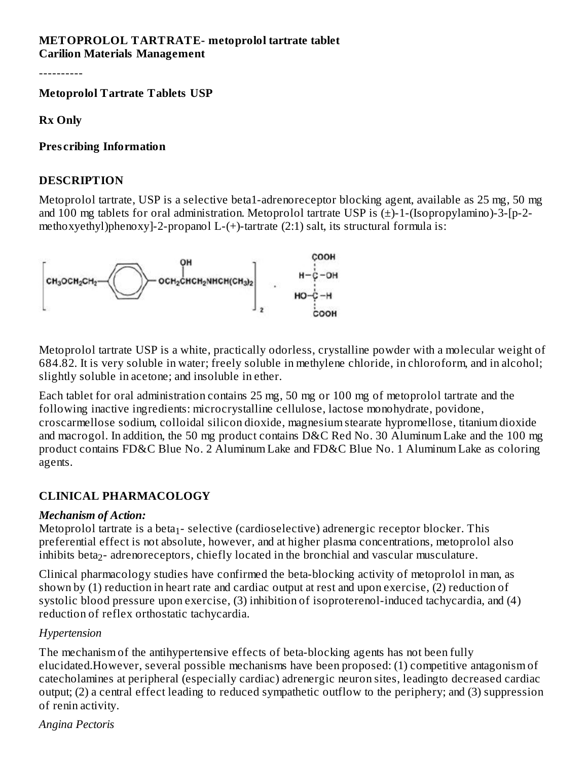#### **METOPROLOL TARTRATE- metoprolol tartrate tablet Carilion Materials Management**

----------

**Metoprolol Tartrate Tablets USP**

**Rx Only**

#### **Pres cribing Information**

#### **DESCRIPTION**

Metoprolol tartrate, USP is a selective beta1-adrenoreceptor blocking agent, available as 25 mg, 50 mg and 100 mg tablets for oral administration. Metoprolol tartrate USP is (±)-1-(Isopropylamino)-3-[p-2 methoxyethyl)phenoxy]-2-propanol L- $(+)$ -tartrate  $(2:1)$  salt, its structural formula is:



Metoprolol tartrate USP is a white, practically odorless, crystalline powder with a molecular weight of 684.82. It is very soluble in water; freely soluble in methylene chloride, in chloroform, and in alcohol; slightly soluble in acetone; and insoluble in ether.

Each tablet for oral administration contains 25 mg, 50 mg or 100 mg of metoprolol tartrate and the following inactive ingredients: microcrystalline cellulose, lactose monohydrate, povidone, croscarmellose sodium, colloidal silicon dioxide, magnesium stearate hypromellose, titanium dioxide and macrogol. In addition, the 50 mg product contains D&C Red No. 30 Aluminum Lake and the 100 mg product contains FD&C Blue No. 2 Aluminum Lake and FD&C Blue No. 1 Aluminum Lake as coloring agents.

#### **CLINICAL PHARMACOLOGY**

#### *Mechanism of Action:*

Metoprolol tartrate is a beta $_1$ - selective (cardioselective) adrenergic receptor blocker. This preferential effect is not absolute, however, and at higher plasma concentrations, metoprolol also inhibits beta $_2$ - adrenoreceptors, chiefly located in the bronchial and vascular musculature.

Clinical pharmacology studies have confirmed the beta-blocking activity of metoprolol in man, as shown by (1) reduction in heart rate and cardiac output at rest and upon exercise, (2) reduction of systolic blood pressure upon exercise, (3) inhibition of isoproterenol-induced tachycardia, and (4) reduction of reflex orthostatic tachycardia.

#### *Hypertension*

The mechanism of the antihypertensive effects of beta-blocking agents has not been fully elucidated.However, several possible mechanisms have been proposed: (1) competitive antagonism of catecholamines at peripheral (especially cardiac) adrenergic neuron sites, leadingto decreased cardiac output; (2) a central effect leading to reduced sympathetic outflow to the periphery; and (3) suppression of renin activity.

*Angina Pectoris*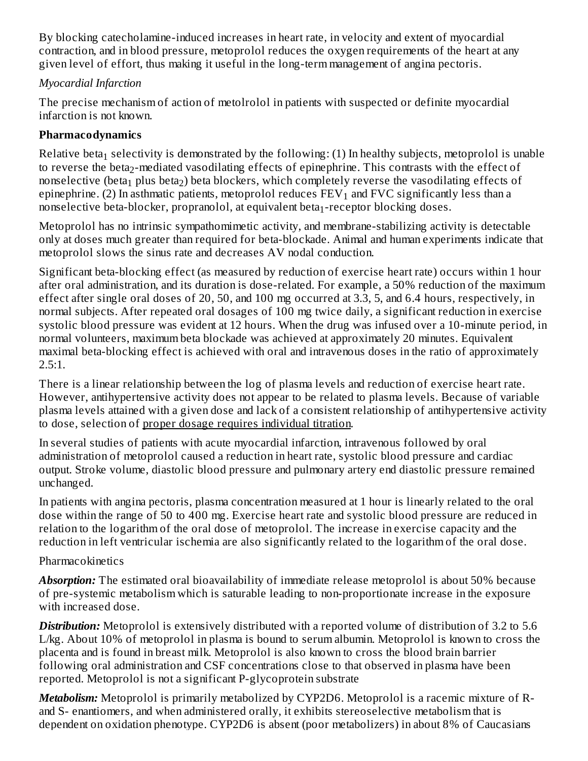By blocking catecholamine-induced increases in heart rate, in velocity and extent of myocardial contraction, and in blood pressure, metoprolol reduces the oxygen requirements of the heart at any given level of effort, thus making it useful in the long-term management of angina pectoris.

# *Myocardial Infarction*

The precise mechanism of action of metolrolol in patients with suspected or definite myocardial infarction is not known.

# **Pharmacodynamics**

Relative beta $_1$  selectivity is demonstrated by the following: (1) In healthy subjects, metoprolol is unable to reverse the beta $_2$ -mediated vasodilating effects of epinephrine. This contrasts with the effect of nonselective (beta $_{\rm 1}$  plus beta $_{\rm 2}$ ) beta blockers, which completely reverse the vasodilating effects of epinephrine. (2) In asthmatic patients, metoprolol reduces  $\text{FEV}_1$  and  $\text{FVC}$  significantly less than a nonselective beta-blocker, propranolol, at equivalent beta $_1$ -receptor blocking doses.

Metoprolol has no intrinsic sympathomimetic activity, and membrane-stabilizing activity is detectable only at doses much greater than required for beta-blockade. Animal and human experiments indicate that metoprolol slows the sinus rate and decreases AV nodal conduction.

Significant beta-blocking effect (as measured by reduction of exercise heart rate) occurs within 1 hour after oral administration, and its duration is dose-related. For example, a 50% reduction of the maximum effect after single oral doses of 20, 50, and 100 mg occurred at 3.3, 5, and 6.4 hours, respectively, in normal subjects. After repeated oral dosages of 100 mg twice daily, a significant reduction in exercise systolic blood pressure was evident at 12 hours. When the drug was infused over a 10-minute period, in normal volunteers, maximum beta blockade was achieved at approximately 20 minutes. Equivalent maximal beta-blocking effect is achieved with oral and intravenous doses in the ratio of approximately 2.5:1.

There is a linear relationship between the log of plasma levels and reduction of exercise heart rate. However, antihypertensive activity does not appear to be related to plasma levels. Because of variable plasma levels attained with a given dose and lack of a consistent relationship of antihypertensive activity to dose, selection of proper dosage requires individual titration.

In several studies of patients with acute myocardial infarction, intravenous followed by oral administration of metoprolol caused a reduction in heart rate, systolic blood pressure and cardiac output. Stroke volume, diastolic blood pressure and pulmonary artery end diastolic pressure remained unchanged.

In patients with angina pectoris, plasma concentration measured at 1 hour is linearly related to the oral dose within the range of 50 to 400 mg. Exercise heart rate and systolic blood pressure are reduced in relation to the logarithm of the oral dose of metoprolol. The increase in exercise capacity and the reduction in left ventricular ischemia are also significantly related to the logarithm of the oral dose.

# Pharmacokinetics

*Absorption:* The estimated oral bioavailability of immediate release metoprolol is about 50% because of pre-systemic metabolism which is saturable leading to non-proportionate increase in the exposure with increased dose.

*Distribution:* Metoprolol is extensively distributed with a reported volume of distribution of 3.2 to 5.6 L/kg. About 10% of metoprolol in plasma is bound to serum albumin. Metoprolol is known to cross the placenta and is found in breast milk. Metoprolol is also known to cross the blood brain barrier following oral administration and CSF concentrations close to that observed in plasma have been reported. Metoprolol is not a significant P-glycoprotein substrate

*Metabolism:* Metoprolol is primarily metabolized by CYP2D6. Metoprolol is a racemic mixture of Rand S- enantiomers, and when administered orally, it exhibits stereoselective metabolism that is dependent on oxidation phenotype. CYP2D6 is absent (poor metabolizers) in about 8% of Caucasians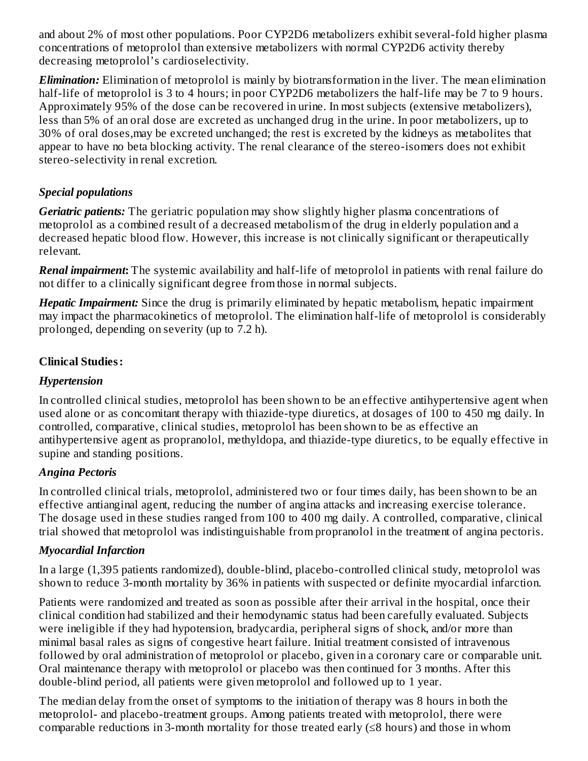and about 2% of most other populations. Poor CYP2D6 metabolizers exhibit several-fold higher plasma concentrations of metoprolol than extensive metabolizers with normal CYP2D6 activity thereby decreasing metoprolol's cardioselectivity.

*Elimination:* Elimination of metoprolol is mainly by biotransformation in the liver. The mean elimination half-life of metoprolol is 3 to 4 hours; in poor CYP2D6 metabolizers the half-life may be 7 to 9 hours. Approximately 95% of the dose can be recovered in urine. In most subjects (extensive metabolizers), less than 5% of an oral dose are excreted as unchanged drug in the urine. In poor metabolizers, up to 30% of oral doses,may be excreted unchanged; the rest is excreted by the kidneys as metabolites that appear to have no beta blocking activity. The renal clearance of the stereo-isomers does not exhibit stereo-selectivity in renal excretion.

# *Special populations*

*Geriatric patients:* The geriatric population may show slightly higher plasma concentrations of metoprolol as a combined result of a decreased metabolism of the drug in elderly population and a decreased hepatic blood flow. However, this increase is not clinically significant or therapeutically relevant.

*Renal impairment***:** The systemic availability and half-life of metoprolol in patients with renal failure do not differ to a clinically significant degree from those in normal subjects.

*Hepatic Impairment:* Since the drug is primarily eliminated by hepatic metabolism, hepatic impairment may impact the pharmacokinetics of metoprolol. The elimination half-life of metoprolol is considerably prolonged, depending on severity (up to 7.2 h).

# **Clinical Studies:**

# *Hypertension*

In controlled clinical studies, metoprolol has been shown to be an effective antihypertensive agent when used alone or as concomitant therapy with thiazide-type diuretics, at dosages of 100 to 450 mg daily. In controlled, comparative, clinical studies, metoprolol has been shown to be as effective an antihypertensive agent as propranolol, methyldopa, and thiazide-type diuretics, to be equally effective in supine and standing positions.

# *Angina Pectoris*

In controlled clinical trials, metoprolol, administered two or four times daily, has been shown to be an effective antianginal agent, reducing the number of angina attacks and increasing exercise tolerance. The dosage used in these studies ranged from 100 to 400 mg daily. A controlled, comparative, clinical trial showed that metoprolol was indistinguishable from propranolol in the treatment of angina pectoris.

#### *Myocardial Infarction*

In a large (1,395 patients randomized), double-blind, placebo-controlled clinical study, metoprolol was shown to reduce 3-month mortality by 36% in patients with suspected or definite myocardial infarction.

Patients were randomized and treated as soon as possible after their arrival in the hospital, once their clinical condition had stabilized and their hemodynamic status had been carefully evaluated. Subjects were ineligible if they had hypotension, bradycardia, peripheral signs of shock, and/or more than minimal basal rales as signs of congestive heart failure. Initial treatment consisted of intravenous followed by oral administration of metoprolol or placebo, given in a coronary care or comparable unit. Oral maintenance therapy with metoprolol or placebo was then continued for 3 months. After this double-blind period, all patients were given metoprolol and followed up to 1 year.

The median delay from the onset of symptoms to the initiation of therapy was 8 hours in both the metoprolol- and placebo-treatment groups. Among patients treated with metoprolol, there were comparable reductions in 3-month mortality for those treated early (≤8 hours) and those in whom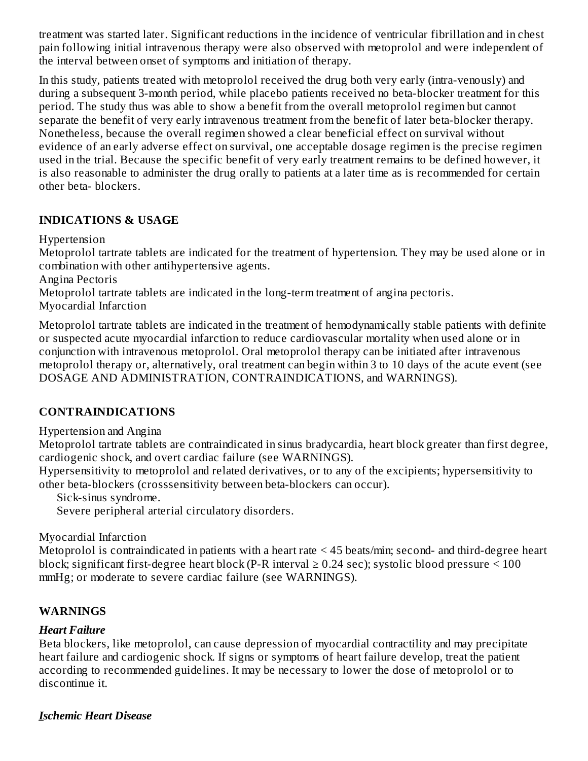treatment was started later. Significant reductions in the incidence of ventricular fibrillation and in chest pain following initial intravenous therapy were also observed with metoprolol and were independent of the interval between onset of symptoms and initiation of therapy.

In this study, patients treated with metoprolol received the drug both very early (intra-venously) and during a subsequent 3-month period, while placebo patients received no beta-blocker treatment for this period. The study thus was able to show a benefit from the overall metoprolol regimen but cannot separate the benefit of very early intravenous treatment from the benefit of later beta-blocker therapy. Nonetheless, because the overall regimen showed a clear beneficial effect on survival without evidence of an early adverse effect on survival, one acceptable dosage regimen is the precise regimen used in the trial. Because the specific benefit of very early treatment remains to be defined however, it is also reasonable to administer the drug orally to patients at a later time as is recommended for certain other beta- blockers.

#### **INDICATIONS & USAGE**

Hypertension

Metoprolol tartrate tablets are indicated for the treatment of hypertension. They may be used alone or in combination with other antihypertensive agents.

Angina Pectoris

Metoprolol tartrate tablets are indicated in the long-term treatment of angina pectoris.

Myocardial Infarction

Metoprolol tartrate tablets are indicated in the treatment of hemodynamically stable patients with definite or suspected acute myocardial infarction to reduce cardiovascular mortality when used alone or in conjunction with intravenous metoprolol. Oral metoprolol therapy can be initiated after intravenous metoprolol therapy or, alternatively, oral treatment can begin within 3 to 10 days of the acute event (see DOSAGE AND ADMINISTRATION, CONTRAINDICATIONS, and WARNINGS).

# **CONTRAINDICATIONS**

Hypertension and Angina

Metoprolol tartrate tablets are contraindicated in sinus bradycardia, heart block greater than first degree, cardiogenic shock, and overt cardiac failure (see WARNINGS).

Hypersensitivity to metoprolol and related derivatives, or to any of the excipients; hypersensitivity to other beta-blockers (crosssensitivity between beta-blockers can occur).

Sick-sinus syndrome.

Severe peripheral arterial circulatory disorders.

Myocardial Infarction

Metoprolol is contraindicated in patients with a heart rate < 45 beats/min; second- and third-degree heart block; significant first-degree heart block (P-R interval  $\geq$  0.24 sec); systolic blood pressure  $\leq$  100 mmHg; or moderate to severe cardiac failure (see WARNINGS).

# **WARNINGS**

#### *Heart Failure*

Beta blockers, like metoprolol, can cause depression of myocardial contractility and may precipitate heart failure and cardiogenic shock. If signs or symptoms of heart failure develop, treat the patient according to recommended guidelines. It may be necessary to lower the dose of metoprolol or to discontinue it.

#### *Ischemic Heart Disease*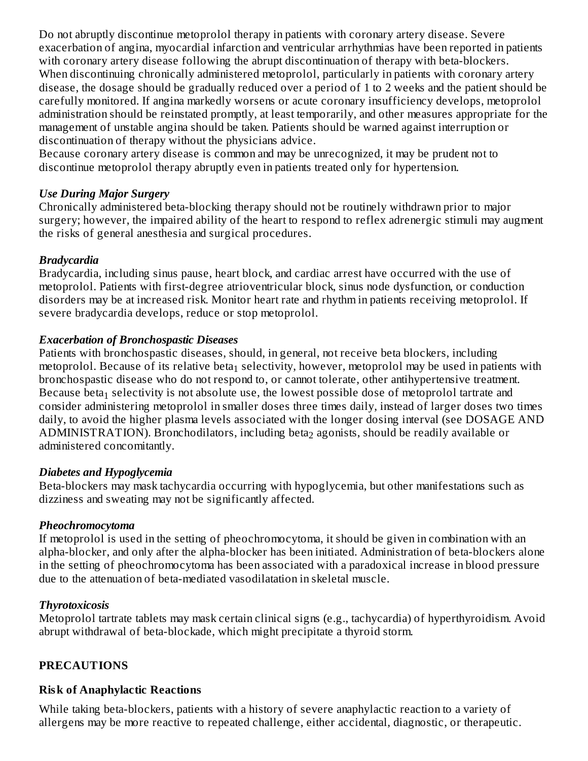Do not abruptly discontinue metoprolol therapy in patients with coronary artery disease. Severe exacerbation of angina, myocardial infarction and ventricular arrhythmias have been reported in patients with coronary artery disease following the abrupt discontinuation of therapy with beta-blockers. When discontinuing chronically administered metoprolol, particularly in patients with coronary artery disease, the dosage should be gradually reduced over a period of 1 to 2 weeks and the patient should be carefully monitored. If angina markedly worsens or acute coronary insufficiency develops, metoprolol administration should be reinstated promptly, at least temporarily, and other measures appropriate for the management of unstable angina should be taken. Patients should be warned against interruption or discontinuation of therapy without the physicians advice.

Because coronary artery disease is common and may be unrecognized, it may be prudent not to discontinue metoprolol therapy abruptly even in patients treated only for hypertension.

#### *Use During Major Surgery*

Chronically administered beta-blocking therapy should not be routinely withdrawn prior to major surgery; however, the impaired ability of the heart to respond to reflex adrenergic stimuli may augment the risks of general anesthesia and surgical procedures.

#### *Bradycardia*

Bradycardia, including sinus pause, heart block, and cardiac arrest have occurred with the use of metoprolol. Patients with first-degree atrioventricular block, sinus node dysfunction, or conduction disorders may be at increased risk. Monitor heart rate and rhythm in patients receiving metoprolol. If severe bradycardia develops, reduce or stop metoprolol.

#### *Exacerbation of Bronchospastic Diseases*

Patients with bronchospastic diseases, should, in general, not receive beta blockers, including metoprolol. Because of its relative beta $_1$  selectivity, however, metoprolol may be used in patients with bronchospastic disease who do not respond to, or cannot tolerate, other antihypertensive treatment. Because beta $_1$  selectivity is not absolute use, the lowest possible dose of metoprolol tartrate and consider administering metoprolol in smaller doses three times daily, instead of larger doses two times daily, to avoid the higher plasma levels associated with the longer dosing interval (see DOSAGE AND  ${\bf ADMINISTRATION}$ ). Bronchodilators, including beta $_2$  agonists, should be readily available or administered concomitantly.

#### *Diabetes and Hypoglycemia*

Beta-blockers may mask tachycardia occurring with hypoglycemia, but other manifestations such as dizziness and sweating may not be significantly affected.

#### *Pheochromocytoma*

If metoprolol is used in the setting of pheochromocytoma, it should be given in combination with an alpha-blocker, and only after the alpha-blocker has been initiated. Administration of beta-blockers alone in the setting of pheochromocytoma has been associated with a paradoxical increase in blood pressure due to the attenuation of beta-mediated vasodilatation in skeletal muscle.

#### *Thyrotoxicosis*

Metoprolol tartrate tablets may mask certain clinical signs (e.g., tachycardia) of hyperthyroidism. Avoid abrupt withdrawal of beta-blockade, which might precipitate a thyroid storm.

#### **PRECAUTIONS**

#### **Risk of Anaphylactic Reactions**

While taking beta-blockers, patients with a history of severe anaphylactic reaction to a variety of allergens may be more reactive to repeated challenge, either accidental, diagnostic, or therapeutic.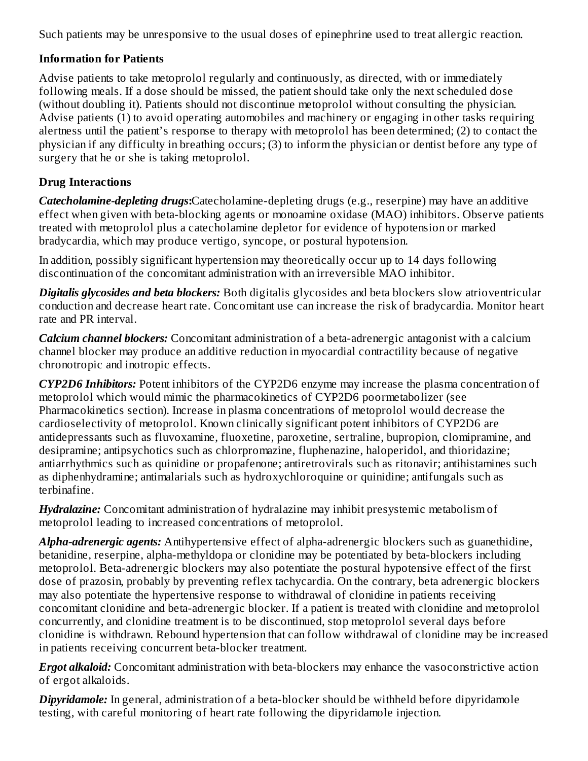Such patients may be unresponsive to the usual doses of epinephrine used to treat allergic reaction.

# **Information for Patients**

Advise patients to take metoprolol regularly and continuously, as directed, with or immediately following meals. If a dose should be missed, the patient should take only the next scheduled dose (without doubling it). Patients should not discontinue metoprolol without consulting the physician. Advise patients (1) to avoid operating automobiles and machinery or engaging in other tasks requiring alertness until the patient's response to therapy with metoprolol has been determined; (2) to contact the physician if any difficulty in breathing occurs; (3) to inform the physician or dentist before any type of surgery that he or she is taking metoprolol.

# **Drug Interactions**

*Catecholamine-depleting drugs***:**Catecholamine-depleting drugs (e.g., reserpine) may have an additive effect when given with beta-blocking agents or monoamine oxidase (MAO) inhibitors. Observe patients treated with metoprolol plus a catecholamine depletor for evidence of hypotension or marked bradycardia, which may produce vertigo, syncope, or postural hypotension.

In addition, possibly significant hypertension may theoretically occur up to 14 days following discontinuation of the concomitant administration with an irreversible MAO inhibitor.

*Digitalis glycosides and beta blockers:* Both digitalis glycosides and beta blockers slow atrioventricular conduction and decrease heart rate. Concomitant use can increase the risk of bradycardia. Monitor heart rate and PR interval.

*Calcium channel blockers:* Concomitant administration of a beta-adrenergic antagonist with a calcium channel blocker may produce an additive reduction in myocardial contractility because of negative chronotropic and inotropic effects.

*CYP2D6 Inhibitors:* Potent inhibitors of the CYP2D6 enzyme may increase the plasma concentration of metoprolol which would mimic the pharmacokinetics of CYP2D6 poormetabolizer (see Pharmacokinetics section). Increase in plasma concentrations of metoprolol would decrease the cardioselectivity of metoprolol. Known clinically significant potent inhibitors of CYP2D6 are antidepressants such as fluvoxamine, fluoxetine, paroxetine, sertraline, bupropion, clomipramine, and desipramine; antipsychotics such as chlorpromazine, fluphenazine, haloperidol, and thioridazine; antiarrhythmics such as quinidine or propafenone; antiretrovirals such as ritonavir; antihistamines such as diphenhydramine; antimalarials such as hydroxychloroquine or quinidine; antifungals such as terbinafine.

*Hydralazine:* Concomitant administration of hydralazine may inhibit presystemic metabolism of metoprolol leading to increased concentrations of metoprolol.

*Alpha-adrenergic agents:* Antihypertensive effect of alpha-adrenergic blockers such as guanethidine, betanidine, reserpine, alpha-methyldopa or clonidine may be potentiated by beta-blockers including metoprolol. Beta-adrenergic blockers may also potentiate the postural hypotensive effect of the first dose of prazosin, probably by preventing reflex tachycardia. On the contrary, beta adrenergic blockers may also potentiate the hypertensive response to withdrawal of clonidine in patients receiving concomitant clonidine and beta-adrenergic blocker. If a patient is treated with clonidine and metoprolol concurrently, and clonidine treatment is to be discontinued, stop metoprolol several days before clonidine is withdrawn. Rebound hypertension that can follow withdrawal of clonidine may be increased in patients receiving concurrent beta-blocker treatment.

*Ergot alkaloid:* Concomitant administration with beta-blockers may enhance the vasoconstrictive action of ergot alkaloids.

*Dipyridamole:* In general, administration of a beta-blocker should be withheld before dipyridamole testing, with careful monitoring of heart rate following the dipyridamole injection.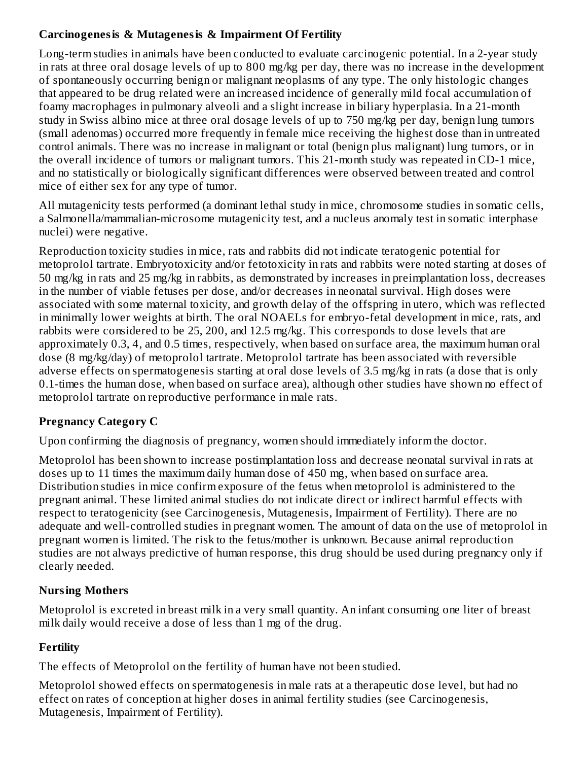# **Carcinogenesis & Mutagenesis & Impairment Of Fertility**

Long-term studies in animals have been conducted to evaluate carcinogenic potential. In a 2-year study in rats at three oral dosage levels of up to 800 mg/kg per day, there was no increase in the development of spontaneously occurring benign or malignant neoplasms of any type. The only histologic changes that appeared to be drug related were an increased incidence of generally mild focal accumulation of foamy macrophages in pulmonary alveoli and a slight increase in biliary hyperplasia. In a 21-month study in Swiss albino mice at three oral dosage levels of up to 750 mg/kg per day, benign lung tumors (small adenomas) occurred more frequently in female mice receiving the highest dose than in untreated control animals. There was no increase in malignant or total (benign plus malignant) lung tumors, or in the overall incidence of tumors or malignant tumors. This 21-month study was repeated in CD-1 mice, and no statistically or biologically significant differences were observed between treated and control mice of either sex for any type of tumor.

All mutagenicity tests performed (a dominant lethal study in mice, chromosome studies in somatic cells, a Salmonella/mammalian-microsome mutagenicity test, and a nucleus anomaly test in somatic interphase nuclei) were negative.

Reproduction toxicity studies in mice, rats and rabbits did not indicate teratogenic potential for metoprolol tartrate. Embryotoxicity and/or fetotoxicity in rats and rabbits were noted starting at doses of 50 mg/kg in rats and 25 mg/kg in rabbits, as demonstrated by increases in preimplantation loss, decreases in the number of viable fetuses per dose, and/or decreases in neonatal survival. High doses were associated with some maternal toxicity, and growth delay of the offspring in utero, which was reflected in minimally lower weights at birth. The oral NOAELs for embryo-fetal development in mice, rats, and rabbits were considered to be 25, 200, and 12.5 mg/kg. This corresponds to dose levels that are approximately 0.3, 4, and 0.5 times, respectively, when based on surface area, the maximum human oral dose (8 mg/kg/day) of metoprolol tartrate. Metoprolol tartrate has been associated with reversible adverse effects on spermatogenesis starting at oral dose levels of 3.5 mg/kg in rats (a dose that is only 0.1-times the human dose, when based on surface area), although other studies have shown no effect of metoprolol tartrate on reproductive performance in male rats.

# **Pregnancy Category C**

Upon confirming the diagnosis of pregnancy, women should immediately inform the doctor.

Metoprolol has been shown to increase postimplantation loss and decrease neonatal survival in rats at doses up to 11 times the maximum daily human dose of 450 mg, when based on surface area. Distribution studies in mice confirm exposure of the fetus when metoprolol is administered to the pregnant animal. These limited animal studies do not indicate direct or indirect harmful effects with respect to teratogenicity (see Carcinogenesis, Mutagenesis, Impairment of Fertility). There are no adequate and well-controlled studies in pregnant women. The amount of data on the use of metoprolol in pregnant women is limited. The risk to the fetus/mother is unknown. Because animal reproduction studies are not always predictive of human response, this drug should be used during pregnancy only if clearly needed.

# **Nursing Mothers**

Metoprolol is excreted in breast milk in a very small quantity. An infant consuming one liter of breast milk daily would receive a dose of less than 1 mg of the drug.

# **Fertility**

The effects of Metoprolol on the fertility of human have not been studied.

Metoprolol showed effects on spermatogenesis in male rats at a therapeutic dose level, but had no effect on rates of conception at higher doses in animal fertility studies (see Carcinogenesis, Mutagenesis, Impairment of Fertility).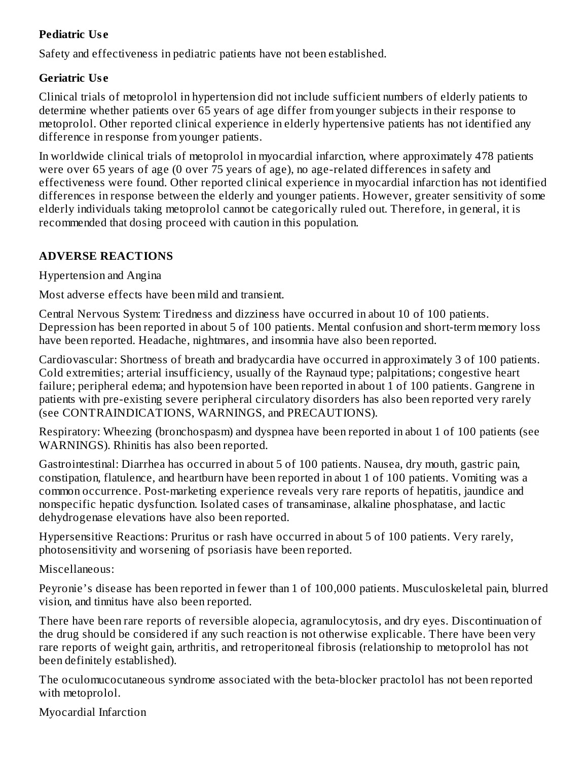# **Pediatric Us e**

Safety and effectiveness in pediatric patients have not been established.

#### **Geriatric Us e**

Clinical trials of metoprolol in hypertension did not include sufficient numbers of elderly patients to determine whether patients over 65 years of age differ from younger subjects in their response to metoprolol. Other reported clinical experience in elderly hypertensive patients has not identified any difference in response from younger patients.

In worldwide clinical trials of metoprolol in myocardial infarction, where approximately 478 patients were over 65 years of age (0 over 75 years of age), no age-related differences in safety and effectiveness were found. Other reported clinical experience in myocardial infarction has not identified differences in response between the elderly and younger patients. However, greater sensitivity of some elderly individuals taking metoprolol cannot be categorically ruled out. Therefore, in general, it is recommended that dosing proceed with caution in this population.

### **ADVERSE REACTIONS**

Hypertension and Angina

Most adverse effects have been mild and transient.

Central Nervous System: Tiredness and dizziness have occurred in about 10 of 100 patients. Depression has been reported in about 5 of 100 patients. Mental confusion and short-term memory loss have been reported. Headache, nightmares, and insomnia have also been reported.

Cardiovascular: Shortness of breath and bradycardia have occurred in approximately 3 of 100 patients. Cold extremities; arterial insufficiency, usually of the Raynaud type; palpitations; congestive heart failure; peripheral edema; and hypotension have been reported in about 1 of 100 patients. Gangrene in patients with pre-existing severe peripheral circulatory disorders has also been reported very rarely (see CONTRAINDICATIONS, WARNINGS, and PRECAUTIONS).

Respiratory: Wheezing (bronchospasm) and dyspnea have been reported in about 1 of 100 patients (see WARNINGS). Rhinitis has also been reported.

Gastrointestinal: Diarrhea has occurred in about 5 of 100 patients. Nausea, dry mouth, gastric pain, constipation, flatulence, and heartburn have been reported in about 1 of 100 patients. Vomiting was a common occurrence. Post-marketing experience reveals very rare reports of hepatitis, jaundice and nonspecific hepatic dysfunction. Isolated cases of transaminase, alkaline phosphatase, and lactic dehydrogenase elevations have also been reported.

Hypersensitive Reactions: Pruritus or rash have occurred in about 5 of 100 patients. Very rarely, photosensitivity and worsening of psoriasis have been reported.

Miscellaneous:

Peyronie's disease has been reported in fewer than 1 of 100,000 patients. Musculoskeletal pain, blurred vision, and tinnitus have also been reported.

There have been rare reports of reversible alopecia, agranulocytosis, and dry eyes. Discontinuation of the drug should be considered if any such reaction is not otherwise explicable. There have been very rare reports of weight gain, arthritis, and retroperitoneal fibrosis (relationship to metoprolol has not been definitely established).

The oculomucocutaneous syndrome associated with the beta-blocker practolol has not been reported with metoprolol.

Myocardial Infarction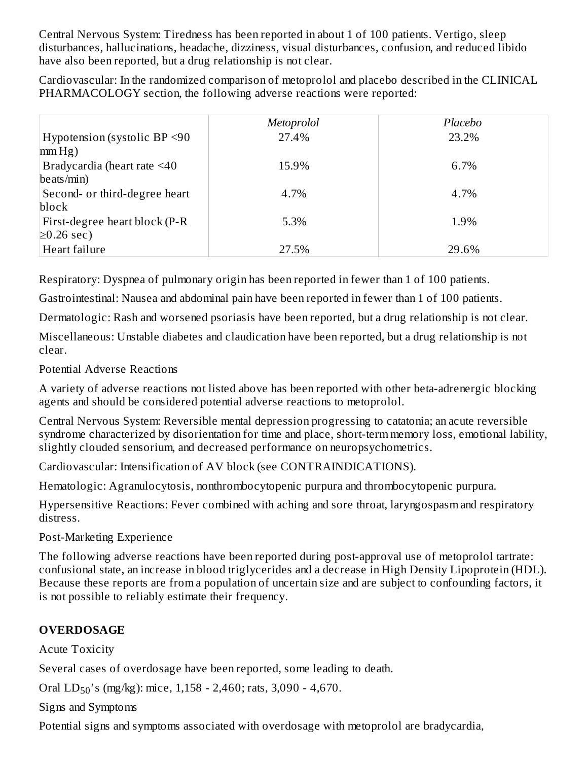Central Nervous System: Tiredness has been reported in about 1 of 100 patients. Vertigo, sleep disturbances, hallucinations, headache, dizziness, visual disturbances, confusion, and reduced libido have also been reported, but a drug relationship is not clear.

Cardiovascular: In the randomized comparison of metoprolol and placebo described in the CLINICAL PHARMACOLOGY section, the following adverse reactions were reported:

|                                                      | Metoprolol | Placebo |
|------------------------------------------------------|------------|---------|
| Hypotension (systolic BP $\leq$ 90<br>$\text{mm Hg}$ | 27.4%      | 23.2%   |
| Bradycardia (heart rate <40<br>beats/min)            | 15.9%      | 6.7%    |
| Second- or third-degree heart<br>block               | 4.7%       | 4.7%    |
| First-degree heart block (P-R<br>$\geq$ 0.26 sec)    | 5.3%       | 1.9%    |
| Heart failure                                        | 27.5%      | 29.6%   |

Respiratory: Dyspnea of pulmonary origin has been reported in fewer than 1 of 100 patients.

Gastrointestinal: Nausea and abdominal pain have been reported in fewer than 1 of 100 patients.

Dermatologic: Rash and worsened psoriasis have been reported, but a drug relationship is not clear.

Miscellaneous: Unstable diabetes and claudication have been reported, but a drug relationship is not clear.

Potential Adverse Reactions

A variety of adverse reactions not listed above has been reported with other beta-adrenergic blocking agents and should be considered potential adverse reactions to metoprolol.

Central Nervous System: Reversible mental depression progressing to catatonia; an acute reversible syndrome characterized by disorientation for time and place, short-term memory loss, emotional lability, slightly clouded sensorium, and decreased performance on neuropsychometrics.

Cardiovascular: Intensification of AV block (see CONTRAINDICATIONS).

Hematologic: Agranulocytosis, nonthrombocytopenic purpura and thrombocytopenic purpura.

Hypersensitive Reactions: Fever combined with aching and sore throat, laryngospasm and respiratory distress.

Post-Marketing Experience

The following adverse reactions have been reported during post-approval use of metoprolol tartrate: confusional state, an increase in blood triglycerides and a decrease in High Density Lipoprotein (HDL). Because these reports are from a population of uncertain size and are subject to confounding factors, it is not possible to reliably estimate their frequency.

# **OVERDOSAGE**

Acute Toxicity

Several cases of overdosage have been reported, some leading to death.

Oral  $LD_{50}$ 's (mg/kg): mice, 1,158 - 2,460; rats, 3,090 - 4,670.

Signs and Symptoms

Potential signs and symptoms associated with overdosage with metoprolol are bradycardia,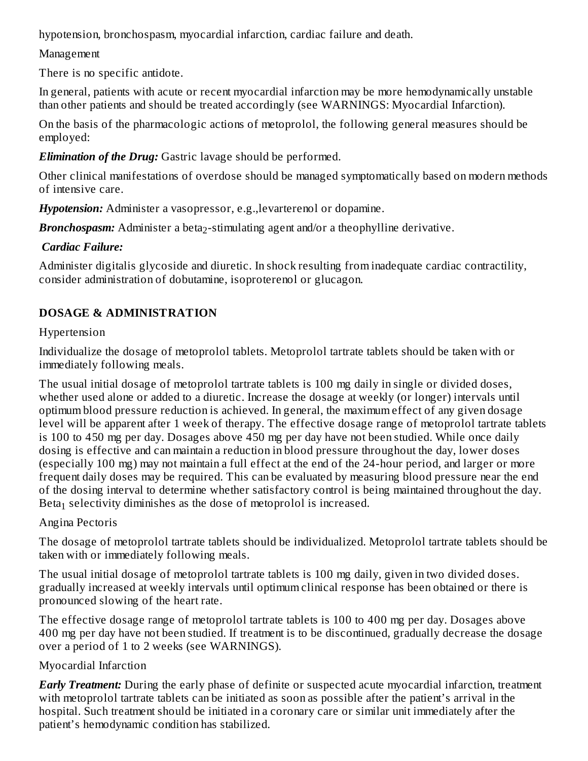hypotension, bronchospasm, myocardial infarction, cardiac failure and death.

## Management

There is no specific antidote.

In general, patients with acute or recent myocardial infarction may be more hemodynamically unstable than other patients and should be treated accordingly (see WARNINGS: Myocardial Infarction).

On the basis of the pharmacologic actions of metoprolol, the following general measures should be employed:

*Elimination of the Drug:* Gastric lavage should be performed.

Other clinical manifestations of overdose should be managed symptomatically based on modern methods of intensive care.

*Hypotension:* Administer a vasopressor, e.g.,levarterenol or dopamine.

Bronchospasm: Administer a beta<sub>2</sub>-stimulating agent and/or a theophylline derivative.

# *Cardiac Failure:*

Administer digitalis glycoside and diuretic. In shock resulting from inadequate cardiac contractility, consider administration of dobutamine, isoproterenol or glucagon.

# **DOSAGE & ADMINISTRATION**

# Hypertension

Individualize the dosage of metoprolol tablets. Metoprolol tartrate tablets should be taken with or immediately following meals.

The usual initial dosage of metoprolol tartrate tablets is 100 mg daily in single or divided doses, whether used alone or added to a diuretic. Increase the dosage at weekly (or longer) intervals until optimum blood pressure reduction is achieved. In general, the maximum effect of any given dosage level will be apparent after 1 week of therapy. The effective dosage range of metoprolol tartrate tablets is 100 to 450 mg per day. Dosages above 450 mg per day have not been studied. While once daily dosing is effective and can maintain a reduction in blood pressure throughout the day, lower doses (especially 100 mg) may not maintain a full effect at the end of the 24-hour period, and larger or more frequent daily doses may be required. This can be evaluated by measuring blood pressure near the end of the dosing interval to determine whether satisfactory control is being maintained throughout the day. Beta $_1$  selectivity diminishes as the dose of metoprolol is increased.

# Angina Pectoris

The dosage of metoprolol tartrate tablets should be individualized. Metoprolol tartrate tablets should be taken with or immediately following meals.

The usual initial dosage of metoprolol tartrate tablets is 100 mg daily, given in two divided doses. gradually increased at weekly intervals until optimum clinical response has been obtained or there is pronounced slowing of the heart rate.

The effective dosage range of metoprolol tartrate tablets is 100 to 400 mg per day. Dosages above 400 mg per day have not been studied. If treatment is to be discontinued, gradually decrease the dosage over a period of 1 to 2 weeks (see WARNINGS).

# Myocardial Infarction

*Early Treatment:* During the early phase of definite or suspected acute myocardial infarction, treatment with metoprolol tartrate tablets can be initiated as soon as possible after the patient's arrival in the hospital. Such treatment should be initiated in a coronary care or similar unit immediately after the patient's hemodynamic condition has stabilized.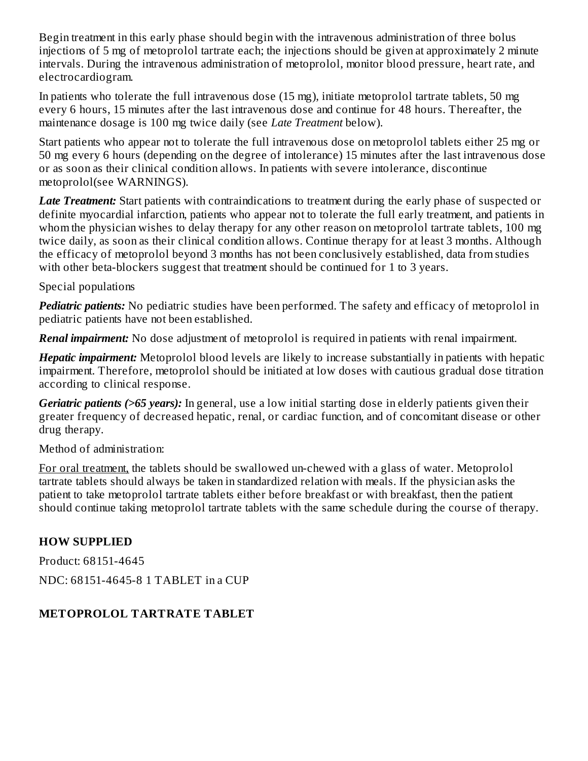Begin treatment in this early phase should begin with the intravenous administration of three bolus injections of 5 mg of metoprolol tartrate each; the injections should be given at approximately 2 minute intervals. During the intravenous administration of metoprolol, monitor blood pressure, heart rate, and electrocardiogram.

In patients who tolerate the full intravenous dose (15 mg), initiate metoprolol tartrate tablets, 50 mg every 6 hours, 15 minutes after the last intravenous dose and continue for 48 hours. Thereafter, the maintenance dosage is 100 mg twice daily (see *Late Treatment* below).

Start patients who appear not to tolerate the full intravenous dose on metoprolol tablets either 25 mg or 50 mg every 6 hours (depending on the degree of intolerance) 15 minutes after the last intravenous dose or as soon as their clinical condition allows. In patients with severe intolerance, discontinue metoprolol(see WARNINGS).

*Late Treatment:* Start patients with contraindications to treatment during the early phase of suspected or definite myocardial infarction, patients who appear not to tolerate the full early treatment, and patients in whom the physician wishes to delay therapy for any other reason on metoprolol tartrate tablets, 100 mg twice daily, as soon as their clinical condition allows. Continue therapy for at least 3 months. Although the efficacy of metoprolol beyond 3 months has not been conclusively established, data from studies with other beta-blockers suggest that treatment should be continued for 1 to 3 years.

Special populations

*Pediatric patients:* No pediatric studies have been performed. The safety and efficacy of metoprolol in pediatric patients have not been established.

*Renal impairment:* No dose adjustment of metoprolol is required in patients with renal impairment.

*Hepatic impairment:* Metoprolol blood levels are likely to increase substantially in patients with hepatic impairment. Therefore, metoprolol should be initiated at low doses with cautious gradual dose titration according to clinical response.

*Geriatric patients (>65 years):* In general, use a low initial starting dose in elderly patients given their greater frequency of decreased hepatic, renal, or cardiac function, and of concomitant disease or other drug therapy.

Method of administration:

For oral treatment, the tablets should be swallowed un-chewed with a glass of water. Metoprolol tartrate tablets should always be taken in standardized relation with meals. If the physician asks the patient to take metoprolol tartrate tablets either before breakfast or with breakfast, then the patient should continue taking metoprolol tartrate tablets with the same schedule during the course of therapy.

#### **HOW SUPPLIED**

Product: 68151-4645 NDC: 68151-4645-8 1 TABLET in a CUP

# **METOPROLOL TARTRATE TABLET**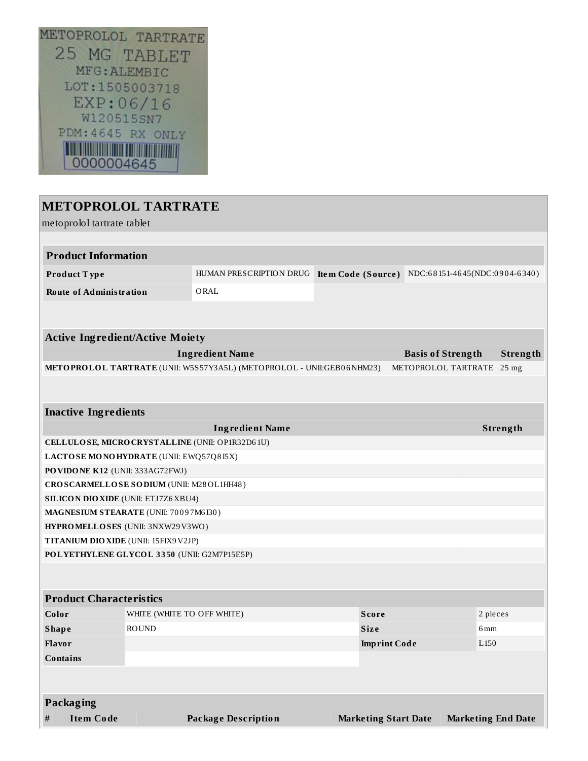

# **METOPROLOL TARTRATE** metoprolol tartrate tablet **Product Information Product T ype** HUMAN PRESCRIPTION DRUG **Ite m Code (Source )** NDC:6 8 151-46 45(NDC:0 9 0 4-6 340 ) **Route of Administration** ORAL **Active Ingredient/Active Moiety Ingredient Name Basis of Strength Strength METOPROLOL TARTRATE** (UNII: W5S57Y3A5L) (METOPROLOL - UNII:GEB0 6NHM23) METOPROLOL TARTRATE 25 mg **Inactive Ingredients Ingredient Name Strength CELLULOSE, MICROCRYSTALLINE** (UNII: OP1R32D6 1U) **LACTOSE MONOHYDRATE** (UNII: EWQ57Q8 I5X) **POVIDONE K12** (UNII: 333AG72FWJ) **CROSCARMELLOSE SODIUM** (UNII: M28OL1HH48 ) **SILICON DIOXIDE** (UNII: ETJ7Z6XBU4) **MAGNESIUM STEARATE** (UNII: 70 0 9 7M6 I30 ) **HYPROMELLOSES** (UNII: 3NXW29V3WO) **TITANIUM DIOXIDE** (UNII: 15FIX9V2JP) **POLYETHYLENE GLYCOL 3 3 50** (UNII: G2M7P15E5P) **Product Characteristics Color** WHITE (WHITE TO OFF WHITE) **Score** 2 pieces **Shape** ROUND **ROUND Size** 6mm **Flavor Imprint Code** L150 **Contains**

**Packaging**

**# Item Code Package Description Marketing Start Date Marketing End Date**